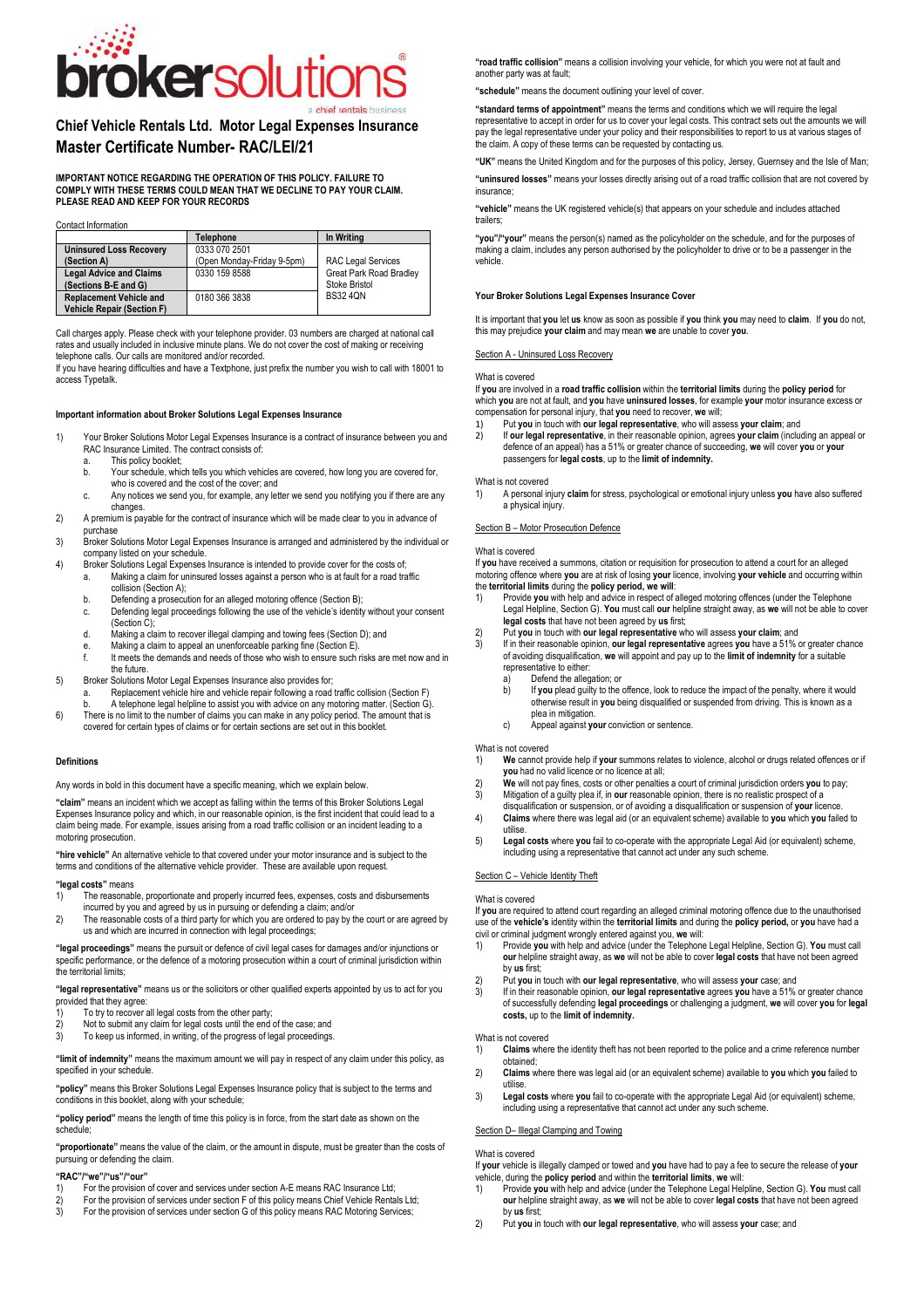

# **Chief Vehicle Rentals Ltd. Motor Legal Expenses Insurance Master Certificate Number- RAC/LEI/21**

**IMPORTANT NOTICE REGARDING THE OPERATION OF THIS POLICY. FAILURE TO COMPLY WITH THESE TERMS COULD MEAN THAT WE DECLINE TO PAY YOUR CLAIM. PLEASE READ AND KEEP FOR YOUR RECORDS** 

#### Contact Information

| $\sim$                            |                            |                                |
|-----------------------------------|----------------------------|--------------------------------|
|                                   | Telephone                  | In Writing                     |
| <b>Uninsured Loss Recovery</b>    | 0333 070 2501              |                                |
| (Section A)                       | (Open Monday-Friday 9-5pm) | <b>RAC Legal Services</b>      |
| <b>Legal Advice and Claims</b>    | 0330 159 8588              | <b>Great Park Road Bradley</b> |
| (Sections B-E and G)              |                            | Stoke Bristol                  |
| <b>Replacement Vehicle and</b>    | 0180 366 3838              | <b>BS324ON</b>                 |
| <b>Vehicle Repair (Section F)</b> |                            |                                |

Call charges apply. Please check with your telephone provider. 03 numbers are charged at national call rates and usually included in inclusive minute plans. We do not cover the cost of making or receiving telephone calls. Our calls are monitored and/or recorded.

If you have hearing difficulties and have a Textphone, just prefix the number you wish to call with 18001 to access Typetalk.

# **Important information about Broker Solutions Legal Expenses Insurance**

- 1) Your Broker Solutions Motor Legal Expenses Insurance is a contract of insurance between you and RAC Insurance Limited. The contract consists of:
	- a. This policy booklet;<br>h Your schedule whi
	- b. Your schedule, which tells you which vehicles are covered, how long you are covered for, who is covered and the cost of the cover; and
	- c. Any notices we send you, for example, any letter we send you notifying you if there are any changes.
- 2) A premium is payable for the contract of insurance which will be made clear to you in advance of purchase
- 3) Broker Solutions Motor Legal Expenses Insurance is arranged and administered by the individual or company listed on your schedule.
- 4) Broker Solutions Legal Expenses Insurance is intended to provide cover for the costs of; a. Making a claim for uninsured losses against a person who is at fault for a road traffic collision (Section A);
	- b. Defending a prosecution for an alleged motoring offence (Section B);
	- c. Defending legal proceedings following the use of the vehicle's identity without your consent (Section C);
	- d. Making a claim to recover illegal clamping and towing fees (Section D); and e. Making a claim to appeal an unenforceable parking fine (Section E).
	-
	- It meets the demands and needs of those who wish to ensure such risks are met now and in the future.
- 5) Broker Solutions Motor Legal Expenses Insurance also provides for;
	- a. Replacement vehicle hire and vehicle repair following a road traffic collision (Section F) b. A telephone legal helpline to assist you with advice on any motoring matter. (Section G).
- 6) There is no limit to the number of claims you can make in any policy period. The amount that is covered for certain types of claims or for certain sections are set out in this booklet.

#### **Definitions**

Any words in bold in this document have a specific meaning, which we explain below.

**"claim"** means an incident which we accept as falling within the terms of this Broker Solutions Legal Expenses Insurance policy and which, in our reasonable opinion, is the first incident that could lead to a claim being made. For example, issues arising from a road traffic collision or an incident leading to a motoring prosecution.

**"hire vehicle"** An alternative vehicle to that covered under your motor insurance and is subject to the terms and conditions of the alternative vehicle provider. These are available upon request.

# **"legal costs"** means

- The reasonable, proportionate and properly incurred fees, expenses, costs and disbursements
- incurred by you and agreed by us in pursuing or defending a claim; and/or
- 2) The reasonable costs of a third party for which you are ordered to pay by the court or are agreed by us and which are incurred in connection with legal proceedings;

**"legal proceedings"** means the pursuit or defence of civil legal cases for damages and/or injunctions or specific performance, or the defence of a motoring prosecution within a court of criminal jurisdiction within s the territorial limits;

#### **"legal representative"** means us or the solicitors or other qualified experts appointed by us to act for you provided that they agree:

- 1) To try to recover all legal costs from the other party;
- 2) Not to submit any claim for legal costs until the end of the case; and<br>3) To keep us informed, in writing of the progress of legal proceedings
- To keep us informed, in writing, of the progress of legal proceedings.

**"limit of indemnity"** means the maximum amount we will pay in respect of any claim under this policy, as specified in your schedule.

**"policy"** means this Broker Solutions Legal Expenses Insurance policy that is subject to the terms and conditions in this booklet, along with your schedule;

**"policy period"** means the length of time this policy is in force, from the start date as shown on the schedule;

**"proportionate"** means the value of the claim, or the amount in dispute, must be greater than the costs of pursuing or defending the claim.

#### **"RAC"/"we"/"us"/"our"**

- 1) For the provision of cover and services under section A-E means RAC Insurance Ltd;<br>2) For the provision of services under section F of this policy means Chief Vehicle Renta
- 2) For the provision of services under section F of this policy means Chief Vehicle Rentals Ltd;<br>
2) For the provision of services under section G of this policy means Chief Vehicle Rentals Ltd;<br>
2) For the provision of se
- For the provision of services under section G of this policy means RAC Motoring Services;

**"road traffic collision"** means a collision involving your vehicle, for which you were not at fault and another party was at fault;

**"schedule"** means the document outlining your level of cover.

**"standard terms of appointment"** means the terms and conditions which we will require the legal representative to accept in order for us to cover your legal costs. This contract sets out the amounts we will pay the legal representative under your policy and their responsibilities to report to us at various stages of the claim. A copy of these terms can be requested by contacting us.

**"UK"** means the United Kingdom and for the purposes of this policy, Jersey, Guernsey and the Isle of Man; **"uninsured losses"** means your losses directly arising out of a road traffic collision that are not covered by

insurance; **"vehicle"** means the UK registered vehicle(s) that appears on your schedule and includes attached

trailers;

**"you"/"your"** means the person(s) named as the policyholder on the schedule, and for the purposes of making a claim, includes any person authorised by the policyholder to drive or to be a passenger in the vehicle.

# **Your Broker Solutions Legal Expenses Insurance Cover**

It is important that **you** let **us** know as soon as possible if **you** think **you** may need to **claim**. If **you** do not, this may prejudice **your claim** and may mean **we** are unable to cover **you**.

# Section A - Uninsured Loss Recovery

#### What is covered

If **you** are involved in a **road traffic collision** within the **territorial limits** during the **policy period** for which **you** are not at fault, and **you** have **uninsured losses**, for example **your** motor insurance excess or compensation for personal injury, that **you** need to recover, **we** will;

- 1) Put **you** in touch with **our legal representative**, who will assess **your claim**; and
- 2) If **our legal representative**, in their reasonable opinion, agrees **your claim** (including an appeal or defence of an appeal) has a 51% or greater chance of succeeding, **we** will cover **you** or **your** passengers for **legal costs**, up to the **limit of indemnity.**

#### What is not covered

1) A personal injury **claim** for stress, psychological or emotional injury unless **you** have also suffered a physical injury.

#### Section B – Motor Prosecution Defence

## What is covered

If **you** have received a summons, citation or requisition for prosecution to attend a court for an alleged motoring offence where **you** are at risk of losing **your** licence, involving **your vehicle** and occurring within the **territorial limits** during the **policy period, we will**:<br>
1) Provide you with help and advice in respect of a

- 1) Provide **you** with help and advice in respect of alleged motoring offences (under the Telephone Legal Helpline, Section G). **You** must call **our** helpline straight away, as **we** will not be able to cover **legal costs** that have not been agreed by **us** first;
- 2) Put **you** in touch with **our legal representative** who will assess **your claim**; and
	- 3) If in their reasonable opinion, **our legal representative** agrees **you** have a 51% or greater chance of avoiding disqualification, **we** will appoint and pay up to the **limit of indemnity** for a suitable representative to either:
		- a) Defend the allegation; or
		- b) If **you** plead guilty to the offence, look to reduce the impact of the penalty, where it would otherwise result in **you** being disqualified or suspended from driving. This is known as a plea in mitigation.
		- c) Appeal against **your** conviction or sentence.

# What is not covered

- 1) **We** cannot provide help if **your** summons relates to violence, alcohol or drugs related offences or if **you** had no valid licence or no licence at all;
- 
- 2) **We** will not pay fines, costs or other penalties a court of criminal jurisdiction orders **you** to pay; 3) Mitigation of a guilty plea if, in **our** reasonable opinion, there is no realistic prospect of a
- disqualification or suspension, or of avoiding a disqualification or suspension of **your** licence. 4) **Claims** where there was legal aid (or an equivalent scheme) available to **you** which **you** failed to
- utilise. 5) **Legal costs** where **you** fail to co-operate with the appropriate Legal Aid (or equivalent) scheme,
- including using a representative that cannot act under any such scheme.

# Section C - Vehicle Identity Theft

# What is covered

If **you** are required to attend court regarding an alleged criminal motoring offence due to the unauthorised use of the **vehicle's** identity within the **territorial limits** and during the **policy period,** or **you** have had a civil or criminal judgment wrongly entered against you, **we** will:

- 1) Provide **you** with help and advice (under the Telephone Legal Helpline, Section G). **You** must call **our** helpline straight away, as **we** will not be able to cover **legal costs** that have not been agreed by **us** first;
- 
- 2) Put **you** in touch with **our legal representative**, who will assess **your** case; and 3) If in their reasonable opinion, **our legal representative** agrees **you** have a 51% or greater chance of successfully defending **legal proceedings** or challenging a judgment, **we** will cover **you** for **legal costs,** up to the **limit of indemnity.**

# What is not covered<br>1) **Claims** when

- 1) **Claims** where the identity theft has not been reported to the police and a crime reference number obtained;
- 2) **Claims** where there was legal aid (or an equivalent scheme) available to **you** which **you** failed to utilise.
- 3) **Legal costs** where **you** fail to co-operate with the appropriate Legal Aid (or equivalent) scheme, including using a representative that cannot act under any such scheme.

# Section D– Illegal Clamping and Towing

#### What is covered

If **your** vehicle is illegally clamped or towed and **you** have had to pay a fee to secure the release of **your** vehicle, during the **policy period** and within the **territorial limits**, **we** will:

- 1) Provide **you** with help and advice (under the Telephone Legal Helpline, Section G). **You** must call **our** helpline straight away, as **we** will not be able to cover **legal costs** that have not been agreed by **us** first;
- 2) Put **you** in touch with **our legal representative**, who will assess **your** case; and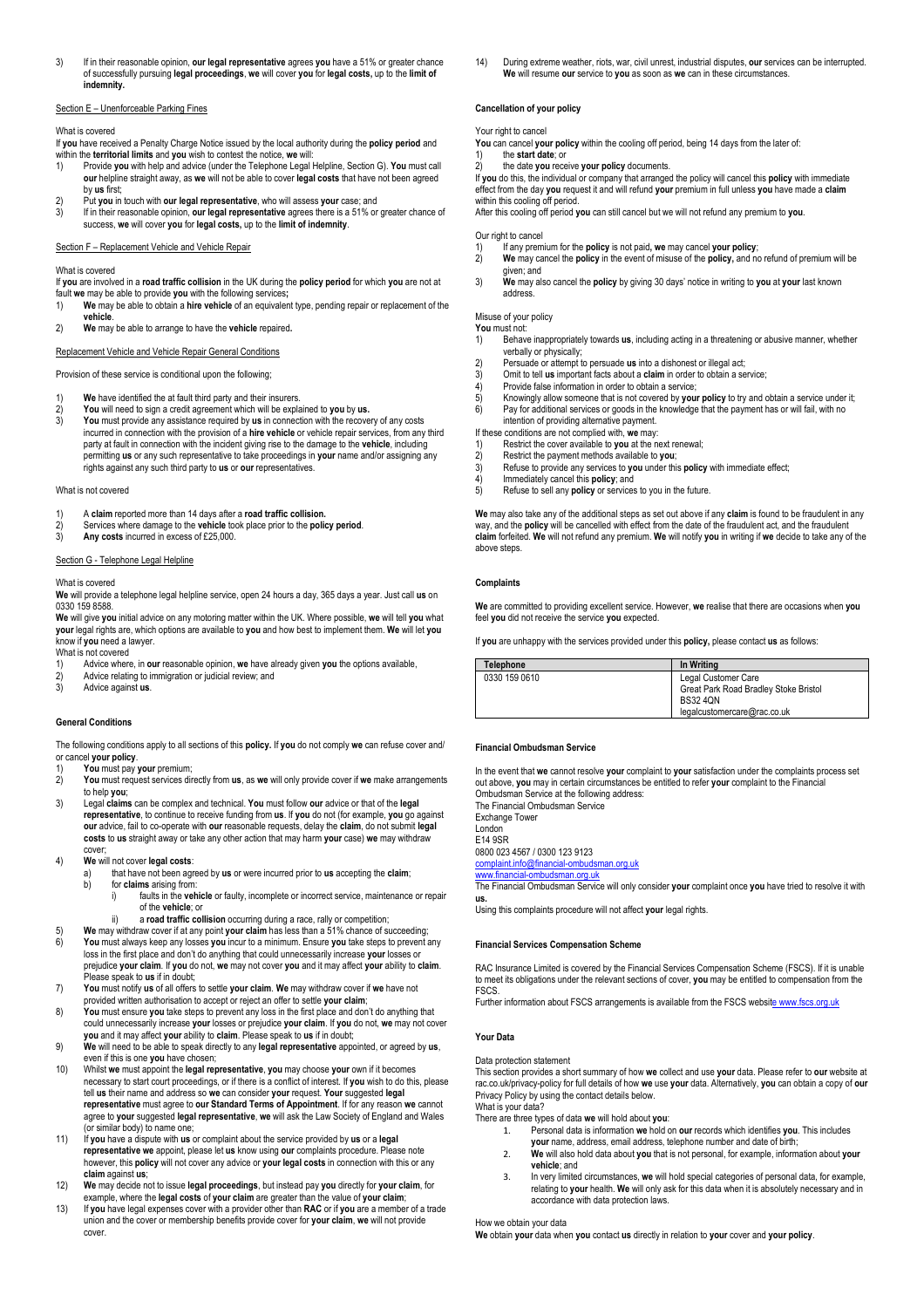3) If in their reasonable opinion, **our legal representative** agrees **you** have a 51% or greater chance of successfully pursuing **legal proceedings**, **we** will cover **you** for **legal costs,** up to the **limit of indemnity.**

# Section E – Unenforceable Parking Fines

## What is covered

If **you** have received a Penalty Charge Notice issued by the local authority during the **policy period** and

- within the **territorial limits** and **you** wish to contest the notice, **we** will: 1) Provide **you** with help and advice (under the Telephone Legal Helpline, Section G). **You** must call **our** helpline straight away, as **we** will not be able to cover **legal costs** that have not been agreed by **us** first;
- 2) Put **you** in touch with **our legal representative**, who will assess **your** case; and<br>3) If in their reasonable opinion, our legal representative agrees there is a 51% or
- 3) If in their reasonable opinion, **our legal representative** agrees there is a 51% or greater chance of success, **we** will cover **you** for **legal costs,** up to the **limit of indemnity**.

# Section F – Replacement Vehicle and Vehicle Repair

# What is covered

If **you** are involved in a **road traffic collision** in the UK during the **policy period** for which **you** are not at fault **we** may be able to provide **you** with the following services**;**

- 1) **We** may be able to obtain a **hire vehicle** of an equivalent type, pending repair or replacement of the **vehicle**.
- 2) **We** may be able to arrange to have the **vehicle** repaired**.**

# Replacement Vehicle and Vehicle Repair General Conditions

Provision of these service is conditional upon the following;

- We have identified the at fault third party and their insurers.
- 2) **You** will need to sign a credit agreement which will be explained to **you** by **us.**
- You must provide any assistance required by us in connection with the recovery of any costs incurred in connection with the provision of a **hire vehicle** or vehicle repair services, from any third party at fault in connection with the incident giving rise to the damage to the **vehicle**, including permitting **us** or any such representative to take proceedings in **your** name and/or assigning any rights against any such third party to **us** or **our** representatives.

#### What is not covered

- 1) A **claim** reported more than 14 days after a **road traffic collision.**
- 2) Services where damage to the **vehicle** took place prior to the **policy period**.
- 3) **Any costs** incurred in excess of £25,000.

#### Section G - Telephone Legal Helpline

#### What is covered

**We** will provide a telephone legal helpline service, open 24 hours a day, 365 days a year. Just call **us** on 0330 159 8588.

**We** will give **you** initial advice on any motoring matter within the UK. Where possible, **we** will tell **you** what **your** legal rights are, which options are available to **you** and how best to implement them. **We** will let **you**  know if **you** need a lawyer.

- What is not covered
- 1) Advice where, in **our** reasonable opinion, **we** have already given **you** the options available, 2) Advice relating to immigration or judicial review; and<br>3) Advice against us.
- 3) Advice against **us**.

## **General Conditions**

The following conditions apply to all sections of this **policy.** If **you** do not comply **we** can refuse cover and/ or cancel **your policy**.

- 1) **You** must pay **your** premium;<br>2) **You** must request services dir
- 2) **You** must request services directly from **us**, as **we** will only provide cover if **we** make arrangements to help **you**;
- 3) Legal **claims** can be complex and technical. **You** must follow **our** advice or that of the **legal representative**, to continue to receive funding from **us**. If **you** do not (for example, **you** go against **our** advice, fail to co-operate with **our** reasonable requests, delay the **claim**, do not submit **legal costs** to **us** straight away or take any other action that may harm **your** case) **we** may withdraw cover;

#### 4) **We** will not cover **legal costs**:

- a) that have not been agreed by **us** or were incurred prior to **us** accepting the **claim**;
	- for **claims** arising from:<br>i) faults in the **veh** 
		- faults in the **vehicle** or faulty, incomplete or incorrect service, maintenance or repair of the **vehicle**; or
		- ii) a **road traffic collision** occurring during a race, rally or competition;
- 5) **We** may withdraw cover if at any point **your claim** has less than a 51% chance of succeeding; 6) **You** must always keep any losses **you** incur to a minimum. Ensure **you** take steps to prevent any loss in the first place and don't do anything that could unnecessarily increase **your** losses or prejudice **your claim**. If **you** do not, **we** may not cover **you** and it may affect **your** ability to **claim**. Please speak to **us** if in doubt;
- 7) **You** must notify **us** of all offers to settle **your claim**. **We** may withdraw cover if **we** have not provided written authorisation to accept or reject an offer to settle **your claim**;
- 8) **You** must ensure **you** take steps to prevent any loss in the first place and don't do anything that could unnecessarily increase **your** losses or prejudice **your claim**. If **you** do not, **we** may not cover **you** and it may affect **your** ability to **claim**. Please speak to **us** if in doubt;
- 9) **We** will need to be able to speak directly to any **legal representative** appointed, or agreed by **us**, even if this is one **you** have chosen;
- 10) Whilst we must appoint the legal representative, you may choose your own if it becomes<br>necessary to start court proceedings, or if there is a conflict of interest. If you wish to do this, please tell us their name and address so we can consider your request. Your suggested legal<br>representative must agree to our Standard Terms of Appointment. If for any reason we cannot agree to **your** suggested **legal representative**, **we** will ask the Law Society of England and Wales (or similar body) to name one;
- 11) If **you** have a dispute with **us** or complaint about the service provided by **us** or a **legal representative we** appoint, please let **us** know using **our** complaints procedure. Please note however, this **policy** will not cover any advice or **your legal costs** in connection with this or any **claim** against **us**;
- 12) **We** may decide not to issue **legal proceedings**, but instead pay **you** directly for **your claim**, for example, where the **legal costs** of your claim are greater than the value of your claim;<br>13) If you have legal expenses cover with a provider other than RAC or if you are a member of a trade
- union and the cover or membership benefits provide cover for **your claim**, **we** will not provide cover.

14) During extreme weather, riots, war, civil unrest, industrial disputes, **our** services can be interrupted. **We** will resume **our** service to **you** as soon as **we** can in these circumstances.

# **Cancellation of your policy**

# Your right to cancel

- **You** can cancel **your policy** within the cooling off period, being 14 days from the later of: 1) the **start date**; or
- 2) the date **you** receive **your policy** documents.

If **you** do this, the individual or company that arranged the policy will cancel this **policy** with immediate effect from the day **you** request it and will refund **your** premium in full unless **you** have made a **claim**  within this cooling off period.

After this cooling off period **you** can still cancel but we will not refund any premium to **you**.

# Our right to cancel<br>1) If any prem

- 
- 1) If any premium for the **policy** is not paid**, we** may cancel **your policy**; 2) **We** may cancel the **policy** in the event of misuse of the **policy,** and no refund of premium will be given; and
- 3) **We** may also cancel the **policy** by giving 30 days' notice in writing to **you** at **your** last known address.

# Misuse of your policy

**You** must not:<br>1) Behav

- 1) Behave inappropriately towards **us**, including acting in a threatening or abusive manner, whether verbally or physically;
- 2) Persuade or attempt to persuade **us** into a dishonest or illegal act;
- 3) Omit to tell **us** important facts about a **claim** in order to obtain a service; Provide false information in order to obtain a service;
- 
- 5) Knowingly allow someone that is not covered by **your policy** to try and obtain a service under it; Pay for additional services or goods in the knowledge that the payment has or will fail, with no intention of providing alternative payment.
- If these conditions are not complied with, **we** may:
- 1) Restrict the cover available to **you** at the next renewal;
- 2) Restrict the payment methods available to **you**;<br>3) Refuse to provide any services to **you** under thi 3) Refuse to provide any services to **you** under this **policy** with immediate effect;
- 
- 4) Immediately cancel this **policy**; and<br>5) Refuse to sell any **policy** or services 5) Refuse to sell any **policy** or services to you in the future.

**We** may also take any of the additional steps as set out above if any **claim** is found to be fraudulent in any way, and the **policy** will be cancelled with effect from the date of the fraudulent act, and the fraudulent **claim** forfeited. **We** will not refund any premium. **We** will notify **you** in writing if **we** decide to take any of the above steps.

# **Complaints**

**We** are committed to providing excellent service. However, **we** realise that there are occasions when **you**  feel **you** did not receive the service **you** expected.

If **you** are unhappy with the services provided under this **policy,** please contact **us** as follows:

| Telephone     | In Writing                                                                                                    |
|---------------|---------------------------------------------------------------------------------------------------------------|
| 0330 159 0610 | Legal Customer Care<br>Great Park Road Bradley Stoke Bristol<br><b>BS324ON</b><br>legalcustomercare@rac.co.uk |

#### **Financial Ombudsman Service**

In the event that **we** cannot resolve **your** complaint to **your** satisfaction under the complaints process set out above, **you** may in certain circumstances be entitled to refer **your** complaint to the Financial Ombudsman Service at the following address:

The Financial Ombudsman Service Exchange Tower London<sup>'</sup> E14 9SR 0800 023 4567 / 0300 123 9123 nlaint.info@financial-o www.financial-ombudsman.org.uk

The Financial Ombudsman Service will only consider **your** complaint once **you** have tried to resolve it with **us.** 

Using this complaints procedure will not affect **your** legal rights.

#### **Financial Services Compensation Scheme**

RAC Insurance Limited is covered by the Financial Services Compensation Scheme (FSCS). If it is unable to meet its obligations under the relevant sections of cover, **you** may be entitled to compensation from the **FSCS** 

Further information about FSCS arrangements is available from the FSCS website www.fscs.org.uk

# **Your Data**

# Data protection statement

This section provides a short summary of how **we** collect and use **your** data. Please refer to **our** website at rac.co.uk/privacy-policy for full details of how **we** use **your** data. Alternatively, **you** can obtain a copy of **our** Privacy Policy by using the contact details below. What is your data?

There are three types of data **we** will hold about **you**:

- 1. Personal data is information **we** hold on **our** records which identifies **you**. This includes **your** name, address, email address, telephone number and date of b
- 2. **We** will also hold data about **you** that is not personal, for example, information about **your vehicle**; and
- 3. In very limited circumstances, **we** will hold special categories of personal data, for example, relating to **your** health. **We** will only ask for this data when it is absolutely necessary and in accordance with data protection laws.

## How we obtain your data

**We** obtain **your** data when **you** contact **us** directly in relation to **your** cover and **your policy**.